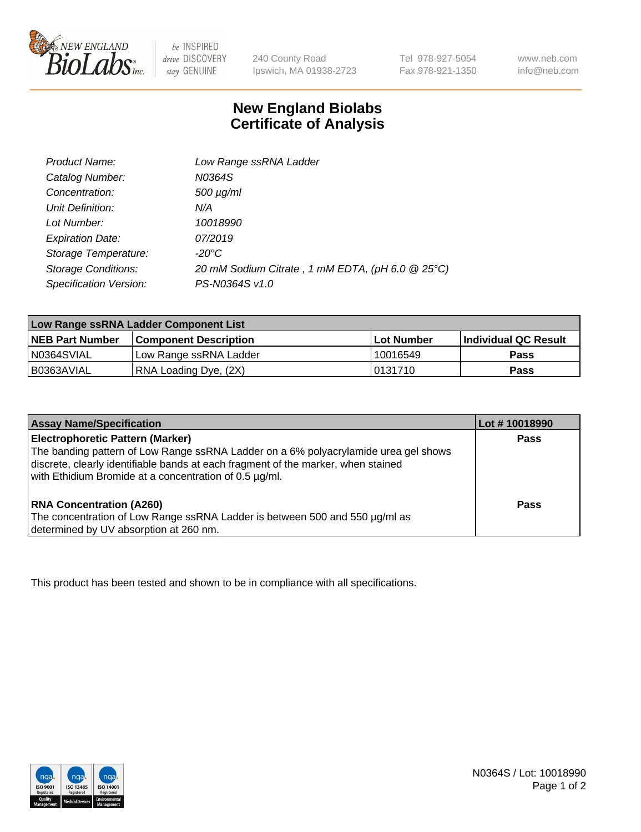

be INSPIRED drive DISCOVERY stay GENUINE

240 County Road Ipswich, MA 01938-2723

Tel 978-927-5054 Fax 978-921-1350 www.neb.com info@neb.com

## **New England Biolabs Certificate of Analysis**

| Product Name:              | Low Range ssRNA Ladder                           |  |
|----------------------------|--------------------------------------------------|--|
| Catalog Number:            | N0364S                                           |  |
| Concentration:             | $500 \mu g/ml$                                   |  |
| Unit Definition:           | N/A                                              |  |
| Lot Number:                | 10018990                                         |  |
| <b>Expiration Date:</b>    | 07/2019                                          |  |
| Storage Temperature:       | -20°C                                            |  |
| <b>Storage Conditions:</b> | 20 mM Sodium Citrate, 1 mM EDTA, (pH 6.0 @ 25°C) |  |
| Specification Version:     | PS-N0364S v1.0                                   |  |

| Low Range ssRNA Ladder Component List |                              |                   |                      |  |
|---------------------------------------|------------------------------|-------------------|----------------------|--|
| <b>NEB Part Number</b>                | <b>Component Description</b> | <b>Lot Number</b> | Individual QC Result |  |
| N0364SVIAL                            | 'Low Range ssRNA Ladder      | 10016549          | <b>Pass</b>          |  |
| B0363AVIAL                            | RNA Loading Dye, (2X)        | 10131710          | <b>Pass</b>          |  |

| <b>Assay Name/Specification</b>                                                                                                                                                                                                                                               | Lot #10018990 |
|-------------------------------------------------------------------------------------------------------------------------------------------------------------------------------------------------------------------------------------------------------------------------------|---------------|
| <b>Electrophoretic Pattern (Marker)</b><br>The banding pattern of Low Range ssRNA Ladder on a 6% polyacrylamide urea gel shows<br>discrete, clearly identifiable bands at each fragment of the marker, when stained<br>with Ethidium Bromide at a concentration of 0.5 µg/ml. | <b>Pass</b>   |
| <b>RNA Concentration (A260)</b><br>The concentration of Low Range ssRNA Ladder is between 500 and 550 µg/ml as<br>determined by UV absorption at 260 nm.                                                                                                                      | <b>Pass</b>   |

This product has been tested and shown to be in compliance with all specifications.